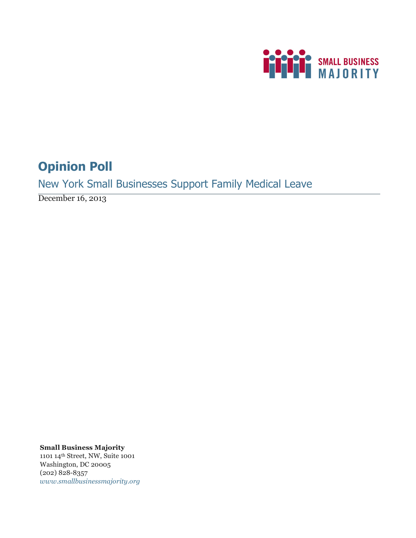

# **Opinion Poll**

New York Small Businesses Support Family Medical Leave

December 16, 2013

**Small Business Majority** 1101 14th Street, NW, Suite 1001 Washington, DC 20005 (202) 828-8357 *www.smallbusinessmajority.org*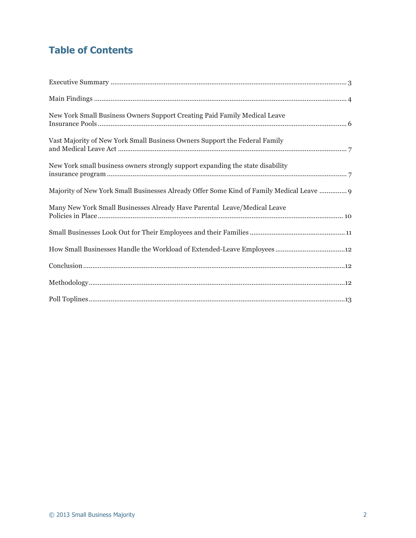# **Table of Contents**

| New York Small Business Owners Support Creating Paid Family Medical Leave                |
|------------------------------------------------------------------------------------------|
| Vast Majority of New York Small Business Owners Support the Federal Family               |
| New York small business owners strongly support expanding the state disability           |
| Majority of New York Small Businesses Already Offer Some Kind of Family Medical Leave  9 |
| Many New York Small Businesses Already Have Parental Leave/Medical Leave                 |
|                                                                                          |
|                                                                                          |
|                                                                                          |
|                                                                                          |
|                                                                                          |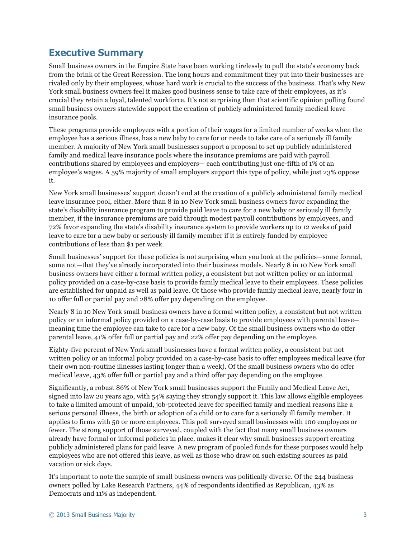# **Executive Summary**

Small business owners in the Empire State have been working tirelessly to pull the state's economy back from the brink of the Great Recession. The long hours and commitment they put into their businesses are rivaled only by their employees, whose hard work is crucial to the success of the business. That's why New York small business owners feel it makes good business sense to take care of their employees, as it's crucial they retain a loyal, talented workforce. It's not surprising then that scientific opinion polling found small business owners statewide support the creation of publicly administered family medical leave insurance pools.

These programs provide employees with a portion of their wages for a limited number of weeks when the employee has a serious illness, has a new baby to care for or needs to take care of a seriously ill family member. A majority of New York small businesses support a proposal to set up publicly administered family and medical leave insurance pools where the insurance premiums are paid with payroll contributions shared by employees and employers— each contributing just one-fifth of 1% of an employee's wages. A 59% majority of small employers support this type of policy, while just 23% oppose it.

New York small businesses' support doesn't end at the creation of a publicly administered family medical leave insurance pool, either. More than 8 in 10 New York small business owners favor expanding the state's disability insurance program to provide paid leave to care for a new baby or seriously ill family member, if the insurance premiums are paid through modest payroll contributions by employees, and 72% favor expanding the state's disability insurance system to provide workers up to 12 weeks of paid leave to care for a new baby or seriously ill family member if it is entirely funded by employee contributions of less than \$1 per week.

Small businesses' support for these policies is not surprising when you look at the policies—some formal, some not—that they've already incorporated into their business models. Nearly 8 in 10 New York small business owners have either a formal written policy, a consistent but not written policy or an informal policy provided on a case-by-case basis to provide family medical leave to their employees. These policies are established for unpaid as well as paid leave. Of those who provide family medical leave, nearly four in 10 offer full or partial pay and 28% offer pay depending on the employee.

Nearly 8 in 10 New York small business owners have a formal written policy, a consistent but not written policy or an informal policy provided on a case-by-case basis to provide employees with parental leave meaning time the employee can take to care for a new baby. Of the small business owners who do offer parental leave, 41% offer full or partial pay and 22% offer pay depending on the employee.

Eighty-five percent of New York small businesses have a formal written policy, a consistent but not written policy or an informal policy provided on a case-by-case basis to offer employees medical leave (for their own non-routine illnesses lasting longer than a week). Of the small business owners who do offer medical leave, 43% offer full or partial pay and a third offer pay depending on the employee.

Significantly, a robust 86% of New York small businesses support the Family and Medical Leave Act, signed into law 20 years ago, with 54% saying they strongly support it. This law allows eligible employees to take a limited amount of unpaid, job-protected leave for specified family and medical reasons like a serious personal illness, the birth or adoption of a child or to care for a seriously ill family member. It applies to firms with 50 or more employees. This poll surveyed small businesses with 100 employees or fewer. The strong support of those surveyed, coupled with the fact that many small business owners already have formal or informal policies in place, makes it clear why small businesses support creating publicly administered plans for paid leave. A new program of pooled funds for these purposes would help employees who are not offered this leave, as well as those who draw on such existing sources as paid vacation or sick days.

It's important to note the sample of small business owners was politically diverse. Of the 244 business owners polled by Lake Research Partners, 44% of respondents identified as Republican, 43% as Democrats and 11% as independent.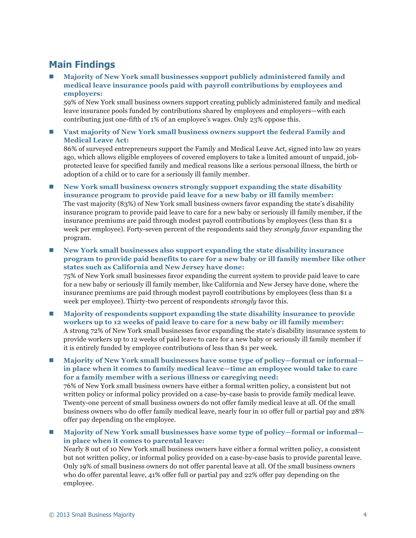# **Main Findings**

n **Majority of New York small businesses support publicly administered family and medical leave insurance pools paid with payroll contributions by employees and employers:**

59% of New York small business owners support creating publicly administered family and medical leave insurance pools funded by contributions shared by employees and employers—with each contributing just one-fifth of 1% of an employee's wages. Only 23% oppose this.

n **Vast majority of New York small business owners support the federal Family and Medical Leave Act:**

86% of surveyed entrepreneurs support the Family and Medical Leave Act, signed into law 20 years ago, which allows eligible employees of covered employers to take a limited amount of unpaid, jobprotected leave for specified family and medical reasons like a serious personal illness, the birth or adoption of a child or to care for a seriously ill family member.

- **n** New York small business owners strongly support expanding the state disability **insurance program to provide paid leave for a new baby or ill family member:** The vast majority (83%) of New York small business owners favor expanding the state's disability insurance program to provide paid leave to care for a new baby or seriously ill family member, if the insurance premiums are paid through modest payroll contributions by employees (less than \$1 a week per employee). Forty-seven percent of the respondents said they *strongly favor* expanding the program.
- New York small businesses also support expanding the state disability insurance **program to provide paid benefits to care for a new baby or ill family member like other states such as California and New Jersey have done:** 75% of New York small businesses favor expanding the current system to provide paid leave to care for a new baby or seriously ill family member, like California and New Jersey have done, where the insurance premiums are paid through modest payroll contributions by employees (less than \$1 a week per employee). Thirty-two percent of respondents *strongly* favor this.
- n **Majority of respondents support expanding the state disability insurance to provide workers up to 12 weeks of paid leave to care for a new baby or ill family member:** A strong 72% of New York small businesses favor expanding the state's disability insurance system to provide workers up to 12 weeks of paid leave to care for a new baby or seriously ill family member if it is entirely funded by employee contributions of less than \$1 per week.

■ Majority of New York small businesses have some type of policy—formal or informal **in place when it comes to family medical leave—time an employee would take to care for a family member with a serious illness or caregiving need:**

76% of New York small business owners have either a formal written policy, a consistent but not written policy or informal policy provided on a case-by-case basis to provide family medical leave. Twenty-one percent of small business owners do not offer family medical leave at all. Of the small business owners who do offer family medical leave, nearly four in 10 offer full or partial pay and 28% offer pay depending on the employee.

■ Majority of New York small businesses have some type of policy—formal or informal **in place when it comes to parental leave:**

Nearly 8 out of 10 New York small business owners have either a formal written policy, a consistent but not written policy, or informal policy provided on a case-by-case basis to provide parental leave. Only 19% of small business owners do not offer parental leave at all. Of the small business owners who do offer parental leave, 41% offer full or partial pay and 22% offer pay depending on the employee.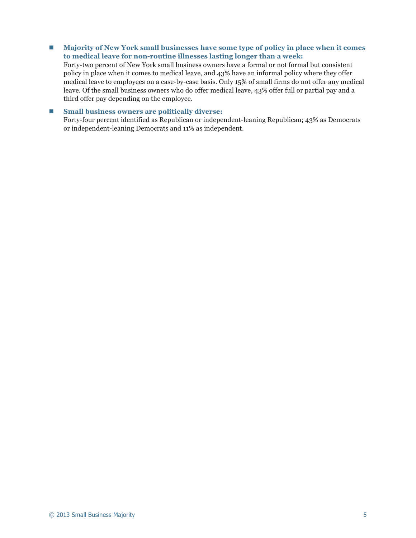■ Majority of New York small businesses have some type of policy in place when it comes **to medical leave for non-routine illnesses lasting longer than a week:**

Forty-two percent of New York small business owners have a formal or not formal but consistent policy in place when it comes to medical leave, and 43% have an informal policy where they offer medical leave to employees on a case-by-case basis. Only 15% of small firms do not offer any medical leave. Of the small business owners who do offer medical leave, 43% offer full or partial pay and a third offer pay depending on the employee.

### ■ Small business owners are politically diverse:

Forty-four percent identified as Republican or independent-leaning Republican; 43% as Democrats or independent-leaning Democrats and 11% as independent.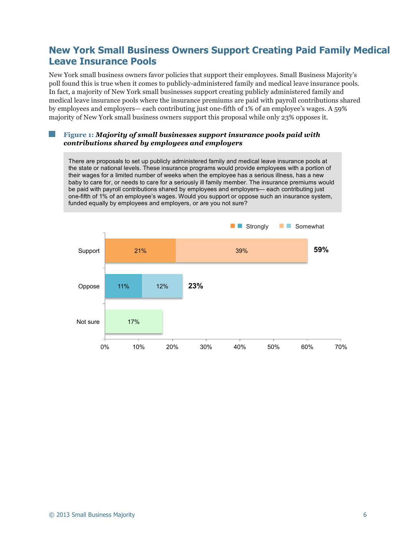### **New York Small Business Owners Support Creating Paid Family Medical Leave Insurance Pools**

New York small business owners favor policies that support their employees. Small Business Majority's poll found this is true when it comes to publicly-administered family and medical leave insurance pools. In fact, a majority of New York small businesses support creating publicly administered family and medical leave insurance pools where the insurance premiums are paid with payroll contributions shared by employees and employers— each contributing just one-fifth of 1% of an employee's wages. A 59% majority of New York small business owners support this proposal while only 23% opposes it.

### **Figure 1:** *Majority of small businesses support insurance pools paid with contributions shared by employees and employers*

There are proposals to set up publicly administered family and medical leave insurance pools at the state or national levels. These insurance programs would provide employees with a portion of their wages for a limited number of weeks when the employee has a serious illness, has a new baby to care for, or needs to care for a seriously ill family member. The insurance premiums would be paid with payroll contributions shared by employees and employers— each contributing just one-fifth of 1% of an employee's wages. Would you support or oppose such an insurance system, funded equally by employees and employers, or are you not sure?

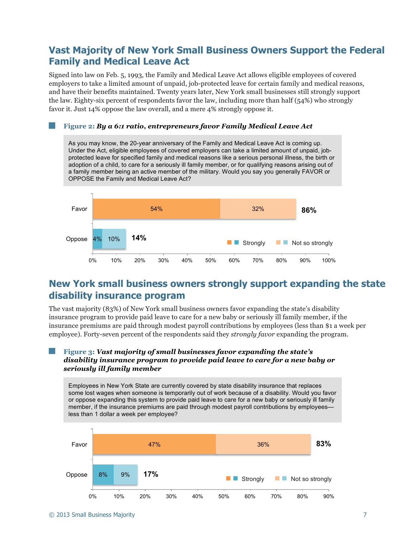### **Vast Majority of New York Small Business Owners Support the Federal Family and Medical Leave Act**

Signed into law on Feb. 5, 1993, the Family and Medical Leave Act allows eligible employees of covered employers to take a limited amount of unpaid, job-protected leave for certain family and medical reasons, and have their benefits maintained. Twenty years later, New York small businesses still strongly support the law. Eighty-six percent of respondents favor the law, including more than half (54%) who strongly favor it. Just 14% oppose the law overall, and a mere 4% strongly oppose it.

### **Figure 2:** *By a 6:1 ratio, entrepreneurs favor Family Medical Leave Act*

As you may know, the 20-year anniversary of the Family and Medical Leave Act is coming up. Under the Act, eligible employees of covered employers can take a limited amount of unpaid, jobprotected leave for specified family and medical reasons like a serious personal illness, the birth or adoption of a child, to care for a seriously ill family member, or for qualifying reasons arising out of a family member being an active member of the military. Would you say you generally FAVOR or OPPOSE the Family and Medical Leave Act?



# **New York small business owners strongly support expanding the state disability insurance program**

The vast majority (83%) of New York small business owners favor expanding the state's disability insurance program to provide paid leave to care for a new baby or seriously ill family member, if the insurance premiums are paid through modest payroll contributions by employees (less than \$1 a week per employee). Forty-seven percent of the respondents said they *strongly favor* expanding the program.

### **Figure 3:** *Vast majority of small businesses favor expanding the state's disability insurance program to provide paid leave to care for a new baby or seriously ill family member*

Employees in New York State are currently covered by state disability insurance that replaces some lost wages when someone is temporarily out of work because of a disability. Would you favor or oppose expanding this system to provide paid leave to care for a new baby or seriously ill family member, if the insurance premiums are paid through modest payroll contributions by employees less than 1 dollar a week per employee?

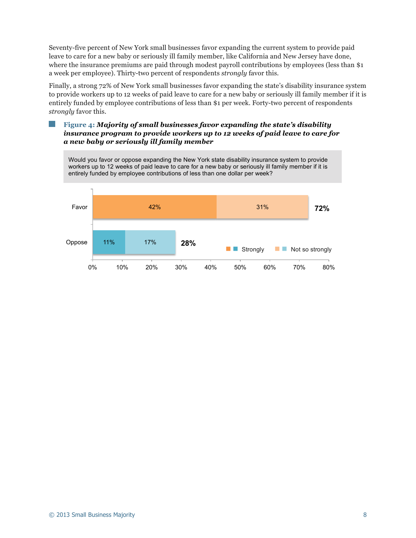Seventy-five percent of New York small businesses favor expanding the current system to provide paid leave to care for a new baby or seriously ill family member, like California and New Jersey have done, where the insurance premiums are paid through modest payroll contributions by employees (less than \$1) a week per employee). Thirty-two percent of respondents *strongly* favor this.

Finally, a strong 72% of New York small businesses favor expanding the state's disability insurance system to provide workers up to 12 weeks of paid leave to care for a new baby or seriously ill family member if it is entirely funded by employee contributions of less than \$1 per week. Forty-two percent of respondents *strongly* favor this.

### **Figure 4:** *Majority of small businesses favor expanding the state's disability insurance program to provide workers up to 12 weeks of paid leave to care for a new baby or seriously ill family member*



© 2013 Small Business Majority 8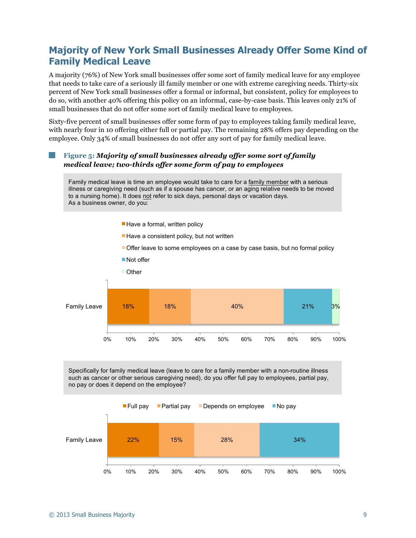# **Majority of New York Small Businesses Already Offer Some Kind of Family Medical Leave**

A majority (76%) of New York small businesses offer some sort of family medical leave for any employee that needs to take care of a seriously ill family member or one with extreme caregiving needs. Thirty-six percent of New York small businesses offer a formal or informal, but consistent, policy for employees to do so, with another 40% offering this policy on an informal, case-by-case basis. This leaves only 21% of small businesses that do not offer some sort of family medical leave to employees.

Sixty-five percent of small businesses offer some form of pay to employees taking family medical leave, with nearly four in 10 offering either full or partial pay. The remaining 28% offers pay depending on the employee. Only 34% of small businesses do not offer any sort of pay for family medical leave.

### **Figure 5:** *Majority of small businesses already offer some sort of family medical leave; two-thirds offer some form of pay to employees*

Family medical leave is time an employee would take to care for a family member with a serious illness or caregiving need (such as if a spouse has cancer, or an aging relative needs to be moved to a nursing home). It does not refer to sick days, personal days or vacation days. As a business owner, do you:

- Have a formal, written policy
- $\blacksquare$  Have a consistent policy, but not written
- Offer leave to some employees on a case by case basis, but no formal policy



Specifically for family medical leave (leave to care for a family member with a non-routine illness such as cancer or other serious caregiving need), do you offer full pay to employees, partial pay, no pay or does it depend on the employee?

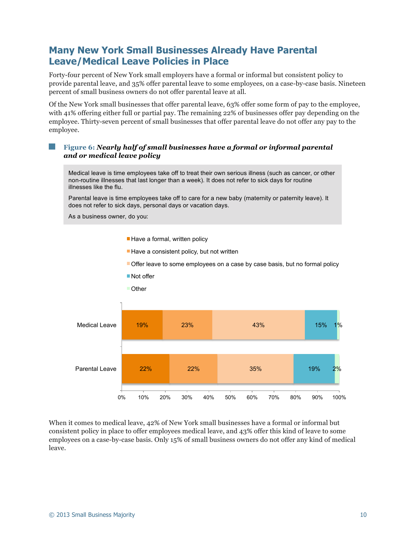# **Many New York Small Businesses Already Have Parental Leave/Medical Leave Policies in Place**

Forty-four percent of New York small employers have a formal or informal but consistent policy to provide parental leave, and 35% offer parental leave to some employees, on a case-by-case basis. Nineteen percent of small business owners do not offer parental leave at all.

Of the New York small businesses that offer parental leave, 63% offer some form of pay to the employee, with 41% offering either full or partial pay. The remaining 22% of businesses offer pay depending on the employee. Thirty-seven percent of small businesses that offer parental leave do not offer any pay to the employee.

### **Figure 6:** *Nearly half of small businesses have a formal or informal parental and or medical leave policy*

Medical leave is time employees take off to treat their own serious illness (such as cancer, or other non-routine illnesses that last longer than a week). It does not refer to sick days for routine illnesses like the flu.

Parental leave is time employees take off to care for a new baby (maternity or paternity leave). It does not refer to sick days, personal days or vacation days.

As a business owner, do you:

- Have a formal, written policy
- $\blacksquare$  Have a consistent policy, but not written
- Offer leave to some employees on a case by case basis, but no formal policy
- Not offer
- **Other**



When it comes to medical leave, 42% of New York small businesses have a formal or informal but consistent policy in place to offer employees medical leave, and 43% offer this kind of leave to some employees on a case-by-case basis. Only 15% of small business owners do not offer any kind of medical leave.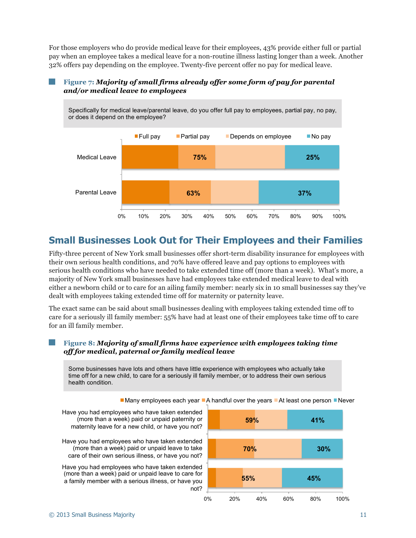For those employers who do provide medical leave for their employees, 43% provide either full or partial pay when an employee takes a medical leave for a non-routine illness lasting longer than a week. Another 32% offers pay depending on the employee. Twenty-five percent offer no pay for medical leave.

### **Figure 7:** *Majority of small firms already offer some form of pay for parental and/or medical leave to employees*



# **Small Businesses Look Out for Their Employees and their Families**

Fifty-three percent of New York small businesses offer short-term disability insurance for employees with their own serious health conditions, and 70% have offered leave and pay options to employees with serious health conditions who have needed to take extended time off (more than a week). What's more, a majority of New York small businesses have had employees take extended medical leave to deal with either a newborn child or to care for an ailing family member: nearly six in 10 small businesses say they've dealt with employees taking extended time off for maternity or paternity leave.

The exact same can be said about small businesses dealing with employees taking extended time off to care for a seriously ill family member: 55% have had at least one of their employees take time off to care for an ill family member.

### **Figure 8:** *Majority of small firms have experience with employees taking time off for medical, paternal or family medical leave*

Some businesses have lots and others have little experience with employees who actually take time off for a new child, to care for a seriously ill family member, or to address their own serious health condition.

 $\blacksquare$  Many employees each year  $\blacksquare$  A handful over the years  $\blacksquare$  At least one person  $\blacksquare$  Never

Have you had employees who have taken extended (more than a week) paid or unpaid paternity or maternity leave for a new child, or have you not?

Have you had employees who have taken extended (more than a week) paid or unpaid leave to take care of their own serious illness, or have you not?

Have you had employees who have taken extended (more than a week) paid or unpaid leave to care for a family member with a serious illness, or have you not?

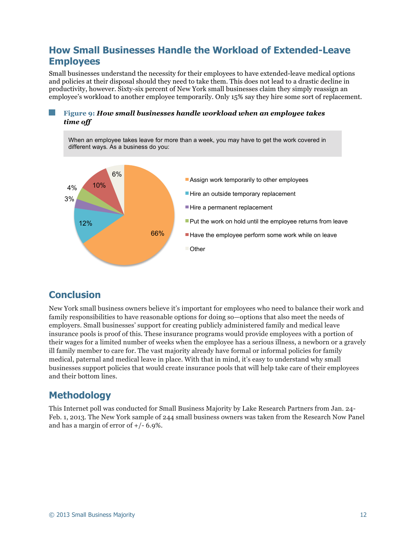# **How Small Businesses Handle the Workload of Extended-Leave Employees**

Small businesses understand the necessity for their employees to have extended-leave medical options and policies at their disposal should they need to take them. This does not lead to a drastic decline in productivity, however. Sixty-six percent of New York small businesses claim they simply reassign an employee's workload to another employee temporarily. Only 15% say they hire some sort of replacement.

### **Figure 9:** *How small businesses handle workload when an employee takes time off*



### **Conclusion**

New York small business owners believe it's important for employees who need to balance their work and family responsibilities to have reasonable options for doing so—options that also meet the needs of employers. Small businesses' support for creating publicly administered family and medical leave insurance pools is proof of this. These insurance programs would provide employees with a portion of their wages for a limited number of weeks when the employee has a serious illness, a newborn or a gravely ill family member to care for. The vast majority already have formal or informal policies for family medical, paternal and medical leave in place. With that in mind, it's easy to understand why small businesses support policies that would create insurance pools that will help take care of their employees and their bottom lines.

# **Methodology**

This Internet poll was conducted for Small Business Majority by Lake Research Partners from Jan. 24- Feb. 1, 2013. The New York sample of 244 small business owners was taken from the Research Now Panel and has a margin of error of  $+/- 6.9\%$ .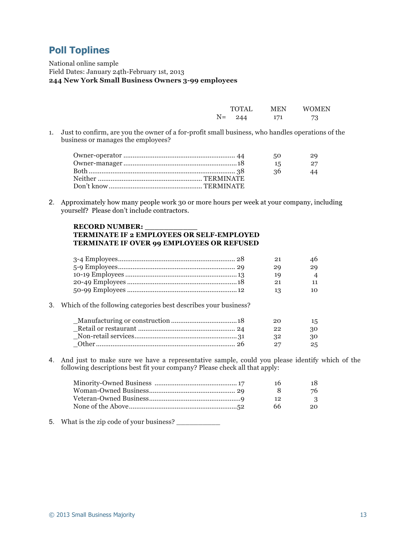# **Poll Toplines**

National online sample Field Dates: January 24th-February 1st, 2013 **244 New York Small Business Owners 3-99 employees**

|      | TOTAL | MEN | <b>WOMEN</b> |
|------|-------|-----|--------------|
| $N=$ | 244   | 171 | 73           |

1. Just to confirm, are you the owner of a for-profit small business, who handles operations of the business or manages the employees?

|  | 29<br>50  |
|--|-----------|
|  | 27<br>-15 |
|  | -36<br>44 |
|  |           |
|  |           |

2. Approximately how many people work 30 or more hours per week at your company, including yourself? Please don't include contractors.

### **RECORD NUMBER: \_\_\_\_\_\_\_\_\_\_\_ TERMINATE IF 2 EMPLOYEES OR SELF-EMPLOYED TERMINATE IF OVER 99 EMPLOYEES OR REFUSED**

|  | 21 | 46                       |
|--|----|--------------------------|
|  | 29 | 29                       |
|  | 19 | $\boldsymbol{\varDelta}$ |
|  | 91 | 11                       |
|  |    | 10                       |

3. Which of the following categories best describes your business?

| 20   | 15  |
|------|-----|
| - 99 | 30  |
| - 22 | 30  |
|      | 25. |

4. And just to make sure we have a representative sample, could you please identify which of the following descriptions best fit your company? Please check all that apply:

| 16  | 18     |
|-----|--------|
|     | 76     |
| 12  | $_{3}$ |
| 66. | 20     |
|     |        |

5. What is the zip code of your business? \_\_\_\_\_\_\_\_\_\_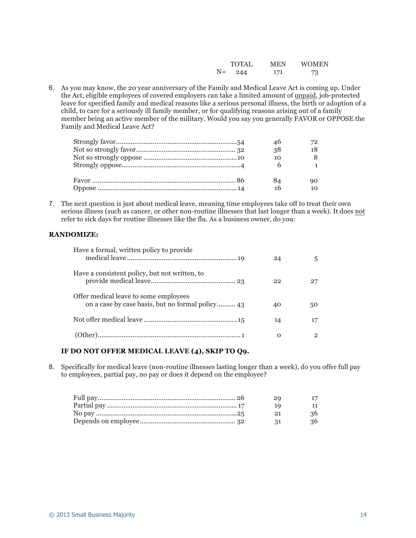|      | <b>TOTAL</b> | <b>MEN</b> | <b>WOMEN</b> |
|------|--------------|------------|--------------|
| $N=$ | 244          | 171        | 73           |

6. As you may know, the 20-year anniversary of the Family and Medical Leave Act is coming up. Under the Act, eligible employees of covered employers can take a limited amount of unpaid, job-protected leave for specified family and medical reasons like a serious personal illness, the birth or adoption of a child, to care for a seriously ill family member, or for qualifying reasons arising out of a family member being an active member of the military. Would you say you generally FAVOR or OPPOSE the Family and Medical Leave Act?

| 46 |  |
|----|--|
| 38 |  |
| 10 |  |
|    |  |
|    |  |
| 84 |  |
| 16 |  |

7. The next question is just about medical leave, meaning time employees take off to treat their own serious illness (such as cancer, or other non-routine illnesses that last longer than a week). It does not refer to sick days for routine illnesses like the flu. As a business owner, do you:

### **RANDOMIZE:**

| Have a formal, written policy to provide      | 24 | 5   |
|-----------------------------------------------|----|-----|
| Have a consistent policy, but not written, to | 22 | 27  |
| Offer medical leave to some employees         | 40 | 50. |
|                                               | 14 | 17  |
|                                               | O  | 2   |

### **IF DO NOT OFFER MEDICAL LEAVE (4), SKIP TO Q9.**

8. Specifically for medical leave (non-routine illnesses lasting longer than a week), do you offer full pay to employees, partial pay, no pay or does it depend on the employee?

|  | -20    | 17 |
|--|--------|----|
|  | - 10 - |    |
|  | - 21   | 36 |
|  | - 21   | 36 |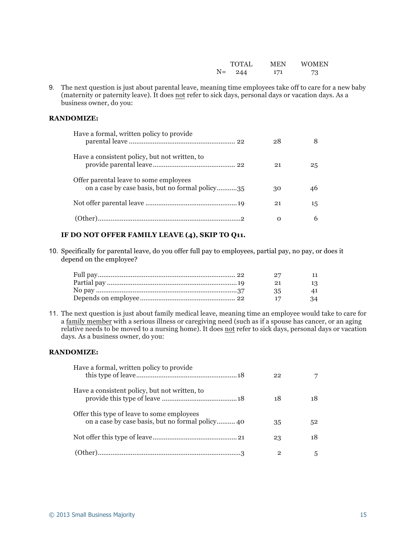|      | TOTAL | MEN | WOMEN |
|------|-------|-----|-------|
| $N=$ | 244   | 171 | 73    |

9. The next question is just about parental leave, meaning time employees take off to care for a new baby (maternity or paternity leave). It does not refer to sick days, personal days or vacation days. As a business owner, do you:

#### **RANDOMIZE:**

| Have a formal, written policy to provide                                                  | 28 |    |
|-------------------------------------------------------------------------------------------|----|----|
| Have a consistent policy, but not written, to                                             | 21 | 25 |
| Offer parental leave to some employees<br>on a case by case basis, but no formal policy35 | 30 | 46 |
|                                                                                           | 21 | 15 |
|                                                                                           | Ω  | 6  |

### **IF DO NOT OFFER FAMILY LEAVE (4), SKIP TO Q11.**

10. Specifically for parental leave, do you offer full pay to employees, partial pay, no pay, or does it depend on the employee?

| - 27 | 11 |
|------|----|
| 21   | 13 |
| 35   | 41 |
|      | 34 |

11. The next question is just about family medical leave, meaning time an employee would take to care for a family member with a serious illness or caregiving need (such as if a spouse has cancer, or an aging relative needs to be moved to a nursing home). It does not refer to sick days, personal days or vacation days. As a business owner, do you:

### **RANDOMIZE:**

| Have a formal, written policy to provide      | 22             | 7  |
|-----------------------------------------------|----------------|----|
| Have a consistent policy, but not written, to | 18             | 18 |
| Offer this type of leave to some employees    | 35             | 52 |
|                                               | 23             | 18 |
|                                               | $\overline{2}$ | 5  |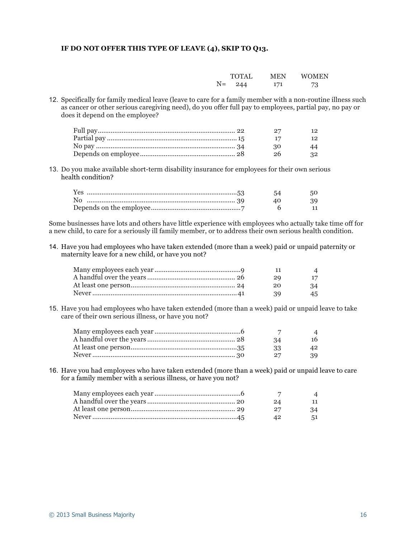### **IF DO NOT OFFER THIS TYPE OF LEAVE (4), SKIP TO Q13.**

|    | TOTAL | MEN | WOMEN |
|----|-------|-----|-------|
| N= | 244   | 171 | 73    |

12. Specifically for family medical leave (leave to care for a family member with a non-routine illness such as cancer or other serious caregiving need), do you offer full pay to employees, partial pay, no pay or does it depend on the employee?

|      | 12 |
|------|----|
|      | 12 |
| - 30 | 44 |
| - 26 | 32 |

13. Do you make available short-term disability insurance for employees for their own serious health condition?

| Yes …………………………………………………………………………53 | 54          | 50.  |
|------------------------------------|-------------|------|
|                                    | $\Delta(1)$ | - 39 |
|                                    |             |      |
|                                    |             |      |

Some businesses have lots and others have little experience with employees who actually take time off for a new child, to care for a seriously ill family member, or to address their own serious health condition.

14. Have you had employees who have taken extended (more than a week) paid or unpaid paternity or maternity leave for a new child, or have you not?

|  | -20    | 17 |
|--|--------|----|
|  | 20     | 34 |
|  | $30 -$ | 45 |

15. Have you had employees who have taken extended (more than a week) paid or unpaid leave to take care of their own serious illness, or have you not?

|  |      | $\boldsymbol{\varDelta}$ |
|--|------|--------------------------|
|  | - 34 | 16                       |
|  | - 33 | 42                       |
|  | 27   | 39                       |

16. Have you had employees who have taken extended (more than a week) paid or unpaid leave to care for a family member with a serious illness, or have you not?

|      | $\Delta$ |
|------|----------|
| -24  | 11       |
| - 27 | 34       |
| 42   | 51       |
|      |          |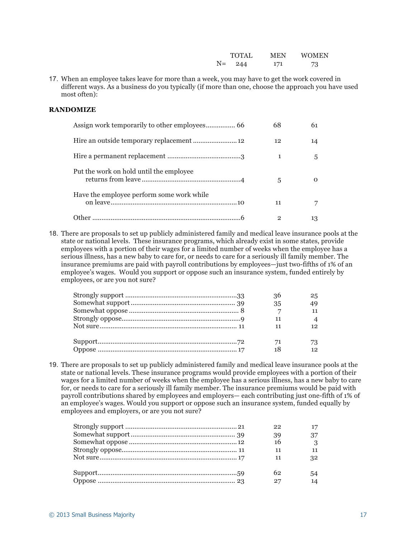|      | <b>TOTAL</b> | <b>MEN</b> | <b>WOMEN</b> |
|------|--------------|------------|--------------|
| $N=$ | 244          | 171        | 73           |

17. When an employee takes leave for more than a week, you may have to get the work covered in different ways. As a business do you typically (if more than one, choose the approach you have used most often):

#### **RANDOMIZE**

|                                           | 68 | 61 |
|-------------------------------------------|----|----|
|                                           | 12 | 14 |
|                                           | 1  | 5  |
| Put the work on hold until the employee   | 5  |    |
| Have the employee perform some work while | 11 |    |
|                                           |    |    |

18. There are proposals to set up publicly administered family and medical leave insurance pools at the state or national levels. These insurance programs, which already exist in some states, provide employees with a portion of their wages for a limited number of weeks when the employee has a serious illness, has a new baby to care for, or needs to care for a seriously ill family member. The insurance premiums are paid with payroll contributions by employees—just two-fifths of 1% of an employee's wages. Would you support or oppose such an insurance system, funded entirely by employees, or are you not sure?

| 36 | 25 |
|----|----|
| 35 |    |
|    |    |
|    |    |
|    |    |
| 71 |    |
| 18 | 12 |

19. There are proposals to set up publicly administered family and medical leave insurance pools at the state or national levels. These insurance programs would provide employees with a portion of their wages for a limited number of weeks when the employee has a serious illness, has a new baby to care for, or needs to care for a seriously ill family member. The insurance premiums would be paid with payroll contributions shared by employees and employers— each contributing just one-fifth of 1% of an employee's wages. Would you support or oppose such an insurance system, funded equally by employees and employers, or are you not sure?

| 22 | 17 |
|----|----|
| 39 | 37 |
| 16 | -3 |
| 11 | 11 |
| 11 | 32 |
| 62 | 54 |
| 27 | 14 |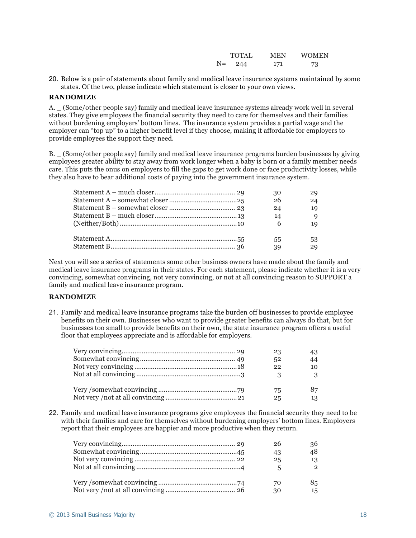|    | <b>TOTAL</b> | <b>MEN</b> | <b>WOMEN</b> |
|----|--------------|------------|--------------|
| N= | 244          | 171        | 73           |

20. Below is a pair of statements about family and medical leave insurance systems maintained by some states. Of the two, please indicate which statement is closer to your own views.

#### **RANDOMIZE**

A. \_ (Some/other people say) family and medical leave insurance systems already work well in several states. They give employees the financial security they need to care for themselves and their families without burdening employers' bottom lines. The insurance system provides a partial wage and the employer can "top up" to a higher benefit level if they choose, making it affordable for employers to provide employees the support they need.

B. \_ (Some/other people say) family and medical leave insurance programs burden businesses by giving employees greater ability to stay away from work longer when a baby is born or a family member needs care. This puts the onus on employers to fill the gaps to get work done or face productivity losses, while they also have to bear additional costs of paying into the government insurance system.

|                                                                                     | 30              |    |
|-------------------------------------------------------------------------------------|-----------------|----|
|                                                                                     | 26              | 24 |
|                                                                                     | 24              | 19 |
| ${\it Statement~B-much~closer.} \label{a} {\it Statement~B-much~closer.} \label{a}$ | 14              | 9  |
|                                                                                     | $6\overline{6}$ | 19 |
|                                                                                     | 55              | 53 |
|                                                                                     | 39              | 29 |

Next you will see a series of statements some other business owners have made about the family and medical leave insurance programs in their states. For each statement, please indicate whether it is a very convincing, somewhat convincing, not very convincing, or not at all convincing reason to SUPPORT a family and medical leave insurance program.

### **RANDOMIZE**

21. Family and medical leave insurance programs take the burden off businesses to provide employee benefits on their own. Businesses who want to provide greater benefits can always do that, but for businesses too small to provide benefits on their own, the state insurance program offers a useful floor that employees appreciate and is affordable for employers.

| 23 |    |
|----|----|
| 52 | 44 |
| 22 | 10 |
|    | ?  |
| 75 |    |
| 25 | 13 |

22. Family and medical leave insurance programs give employees the financial security they need to be with their families and care for themselves without burdening employers' bottom lines. Employers report that their employees are happier and more productive when they return.

| 26 | 36             |
|----|----------------|
| 43 | 48             |
| 25 | 13             |
|    | $\mathfrak{O}$ |
| 70 | 85             |
| 30 | 15             |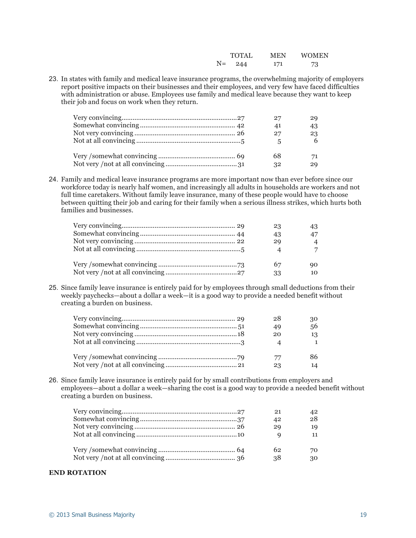|    | <b>TOTAL</b> | MEN | <b>WOMEN</b> |
|----|--------------|-----|--------------|
| N= | 244          | 171 | 73           |

23. In states with family and medical leave insurance programs, the overwhelming majority of employers report positive impacts on their businesses and their employees, and very few have faced difficulties with administration or abuse. Employees use family and medical leave because they want to keep their job and focus on work when they return.

| 27 | 29 |
|----|----|
| 41 | 43 |
| 27 | 23 |
|    | 6  |
| 68 | 71 |
| 32 | 29 |

24. Family and medical leave insurance programs are more important now than ever before since our workforce today is nearly half women, and increasingly all adults in households are workers and not full time caretakers. Without family leave insurance, many of these people would have to choose between quitting their job and caring for their family when a serious illness strikes, which hurts both families and businesses.

| 23                       | 43             |
|--------------------------|----------------|
| 43                       | 47             |
| 29                       | $\overline{4}$ |
| $\boldsymbol{\varDelta}$ |                |
| 67                       | 90.            |
| 33                       | 10             |

25. Since family leave insurance is entirely paid for by employees through small deductions from their weekly paychecks—about a dollar a week—it is a good way to provide a needed benefit without creating a burden on business.

|  | 28 | 30 |
|--|----|----|
|  | 49 | 56 |
|  | 20 | 13 |
|  |    |    |
|  | 77 |    |
|  | 23 | 14 |

26. Since family leave insurance is entirely paid for by small contributions from employers and employees—about a dollar a week—sharing the cost is a good way to provide a needed benefit without creating a burden on business.

| 21 | 42 |
|----|----|
| 42 | 28 |
| 20 | 19 |
|    | 11 |
| 62 | 70 |
| 38 | 30 |

#### **END ROTATION**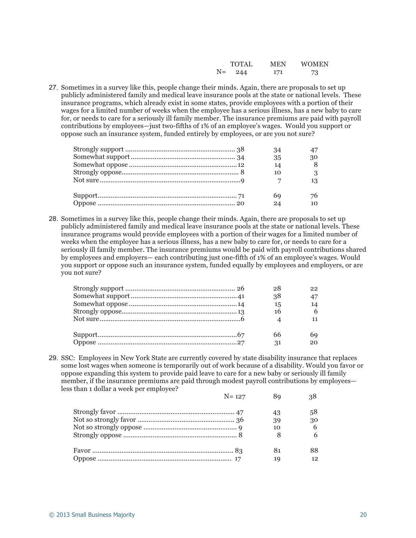|      | <b>TOTAL</b> | MEN | <b>WOMEN</b> |
|------|--------------|-----|--------------|
| $N=$ | 244          | 171 | 73           |

27. Sometimes in a survey like this, people change their minds. Again, there are proposals to set up publicly administered family and medical leave insurance pools at the state or national levels. These insurance programs, which already exist in some states, provide employees with a portion of their wages for a limited number of weeks when the employee has a serious illness, has a new baby to care for, or needs to care for a seriously ill family member. The insurance premiums are paid with payroll contributions by employees—just two-fifths of 1% of an employee's wages. Would you support or oppose such an insurance system, funded entirely by employees, or are you not sure?

| 34 |           |
|----|-----------|
| 35 | 30        |
| 14 | 8         |
| 10 | 3         |
|    | 13        |
| 69 | 76        |
| 24 | $10^{-1}$ |

28. Sometimes in a survey like this, people change their minds. Again, there are proposals to set up publicly administered family and medical leave insurance pools at the state or national levels. These insurance programs would provide employees with a portion of their wages for a limited number of weeks when the employee has a serious illness, has a new baby to care for, or needs to care for a seriously ill family member. The insurance premiums would be paid with payroll contributions shared by employees and employers— each contributing just one-fifth of 1% of an employee's wages. Would you support or oppose such an insurance system, funded equally by employees and employers, or are you not sure?

| 28 | 22              |
|----|-----------------|
| 38 | $\overline{17}$ |
| 15 | 14              |
| 16 |                 |
|    |                 |
|    |                 |
| 66 | 69              |
| 31 |                 |

29. SSC: Employees in New York State are currently covered by state disability insurance that replaces some lost wages when someone is temporarily out of work because of a disability. Would you favor or oppose expanding this system to provide paid leave to care for a new baby or seriously ill family member, if the insurance premiums are paid through modest payroll contributions by employees less than 1 dollar a week per employee?

| $N = 127$ |    | 38 |
|-----------|----|----|
|           | 43 | 58 |
|           | 39 | 30 |
|           | 10 | 6  |
|           |    | 6  |
|           | 81 | 88 |
|           | 19 | 12 |
|           |    |    |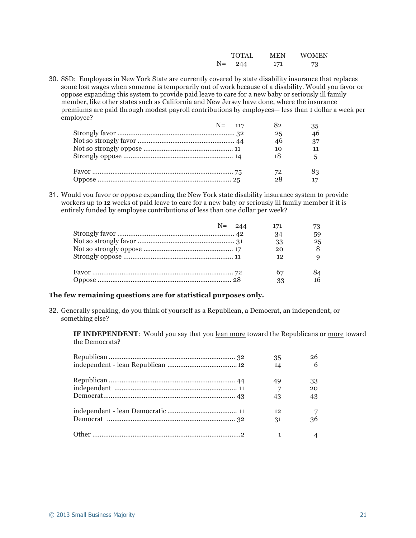|    | <b>TOTAL</b> | MEN | <b>WOMEN</b> |
|----|--------------|-----|--------------|
| N= | 244          | 171 | 73           |

30. SSD: Employees in New York State are currently covered by state disability insurance that replaces some lost wages when someone is temporarily out of work because of a disability. Would you favor or oppose expanding this system to provide paid leave to care for a new baby or seriously ill family member, like other states such as California and New Jersey have done, where the insurance premiums are paid through modest payroll contributions by employees— less than 1 dollar a week per employee?

|  | $N = 117$ | 82 | 35  |
|--|-----------|----|-----|
|  |           | 25 | 46  |
|  |           | 46 | 37  |
|  |           | 10 |     |
|  |           | 18 |     |
|  |           | 72 | 83. |
|  |           | 28 |     |

31. Would you favor or oppose expanding the New York state disability insurance system to provide workers up to 12 weeks of paid leave to care for a new baby or seriously ill family member if it is entirely funded by employee contributions of less than one dollar per week?

|  | $N = 244$ | 171      |    |
|--|-----------|----------|----|
|  |           | 34       | 59 |
|  |           | 33       | 25 |
|  |           | 20       |    |
|  |           | 12       |    |
|  |           | 67<br>33 | 84 |

### **The few remaining questions are for statistical purposes only.**

32. Generally speaking, do you think of yourself as a Republican, a Democrat, an independent, or something else?

**IF INDEPENDENT**: Would you say that you lean more toward the Republicans or more toward the Democrats?

| 35             |    |
|----------------|----|
| 14             | 6  |
| 49             | 33 |
| $\overline{7}$ | 20 |
| 43             | 43 |
| 12             |    |
| 31             | 36 |
|                |    |